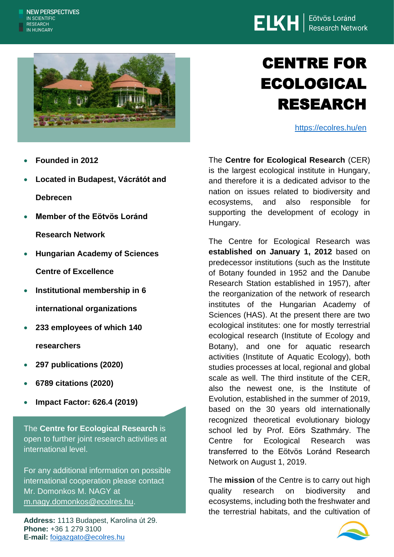



# CENTRE FOR ECOLOGICAL RESEARCH

<https://ecolres.hu/en>

- **Founded in 2012**
- **Located in Budapest, Vácrátót and Debrecen**
- **[Member of the Eötvös Loránd](https://elkh.org/en/) [Research Network](https://elkh.org/en/)**
- **Hungarian Academy of Sciences Centre of Excellence**
- **Institutional membership in 6 international organizations**
- **233 employees of which 140 researchers**
- **297 publications (2020)**
- **6789 citations (2020)**
- **Impact Factor: 626.4 (2019)**

The **Centre for Ecological Research** is open to further joint research activities at international level.

For any additional information on possible international cooperation please contact Mr. Domonkos M. NAGY at [m.nagy.domonkos@ecolres.hu.](mailto:siklos.laszlo@brc.hu)

**Address:** 1113 Budapest, Karolina út 29. **Phone:** +36 1 279 3100 **E-mail:** [foigazgato@ecolres.hu](mailto:foigazgato@ecolres.hu)

The **Centre for Ecological Research** (CER) is the largest ecological institute in Hungary, and therefore it is a dedicated advisor to the nation on issues related to biodiversity and ecosystems, and also responsible for supporting the development of ecology in Hungary.

The Centre for Ecological Research was **established on January 1, 2012** based on predecessor institutions (such as the Institute of Botany founded in 1952 and the Danube Research Station established in 1957), after the reorganization of the network of research institutes of the Hungarian Academy of Sciences (HAS). At the present there are two ecological institutes: one for mostly terrestrial ecological research (Institute of Ecology and Botany), and one for aquatic research activities (Institute of Aquatic Ecology), both studies processes at local, regional and global scale as well. The third institute of the CER, also the newest one, is the Institute of Evolution, established in the summer of 2019, based on the 30 years old internationally recognized theoretical evolutionary biology school led by Prof. Eörs Szathmáry. The Centre for Ecological Research was transferred to the Eötvös Loránd Research Network on August 1, 2019.

The **mission** of the Centre is to carry out high quality research on biodiversity and ecosystems, including both the freshwater and the terrestrial habitats, and the cultivation of